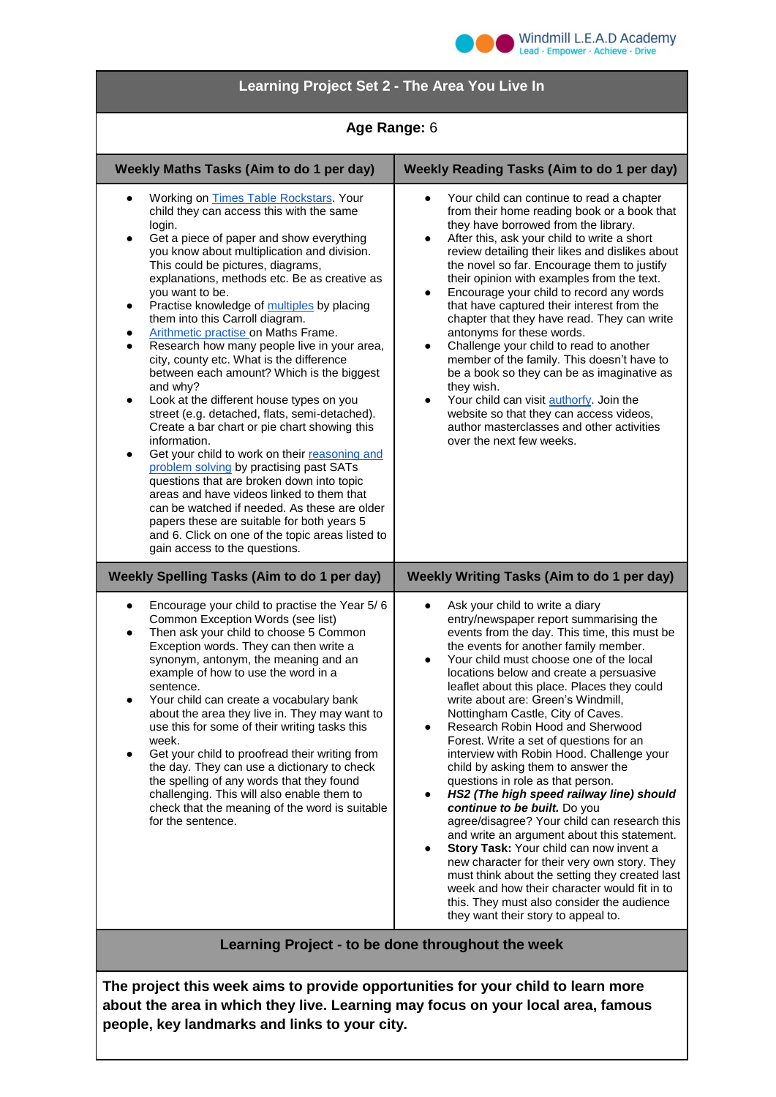

## **Learning Project Set 2 - The Area You Live In**

## **Age Range:** 6

| Weekly Maths Tasks (Aim to do 1 per day)                                                                                                                                                                                                                                                                                                                                                                                                                                                                                                                                                                                                                                                                                                                                                                                                                                                                                                                                                                                                                                                                                                                                     | <b>Weekly Reading Tasks (Aim to do 1 per day)</b>                                                                                                                                                                                                                                                                                                                                                                                                                                                                                                                                                                                                                                                                                                                                                                                                                                                                                                                                                                                                                                |
|------------------------------------------------------------------------------------------------------------------------------------------------------------------------------------------------------------------------------------------------------------------------------------------------------------------------------------------------------------------------------------------------------------------------------------------------------------------------------------------------------------------------------------------------------------------------------------------------------------------------------------------------------------------------------------------------------------------------------------------------------------------------------------------------------------------------------------------------------------------------------------------------------------------------------------------------------------------------------------------------------------------------------------------------------------------------------------------------------------------------------------------------------------------------------|----------------------------------------------------------------------------------------------------------------------------------------------------------------------------------------------------------------------------------------------------------------------------------------------------------------------------------------------------------------------------------------------------------------------------------------------------------------------------------------------------------------------------------------------------------------------------------------------------------------------------------------------------------------------------------------------------------------------------------------------------------------------------------------------------------------------------------------------------------------------------------------------------------------------------------------------------------------------------------------------------------------------------------------------------------------------------------|
| Working on Times Table Rockstars. Your<br>٠<br>child they can access this with the same<br>login.<br>Get a piece of paper and show everything<br>٠<br>you know about multiplication and division.<br>This could be pictures, diagrams,<br>explanations, methods etc. Be as creative as<br>you want to be.<br>Practise knowledge of multiples by placing<br>$\bullet$<br>them into this Carroll diagram.<br>Arithmetic practise on Maths Frame.<br>٠<br>Research how many people live in your area,<br>$\bullet$<br>city, county etc. What is the difference<br>between each amount? Which is the biggest<br>and why?<br>Look at the different house types on you<br>٠<br>street (e.g. detached, flats, semi-detached).<br>Create a bar chart or pie chart showing this<br>information.<br>Get your child to work on their reasoning and<br>$\bullet$<br>problem solving by practising past SATs<br>questions that are broken down into topic<br>areas and have videos linked to them that<br>can be watched if needed. As these are older<br>papers these are suitable for both years 5<br>and 6. Click on one of the topic areas listed to<br>gain access to the questions. | Your child can continue to read a chapter<br>$\bullet$<br>from their home reading book or a book that<br>they have borrowed from the library.<br>After this, ask your child to write a short<br>$\bullet$<br>review detailing their likes and dislikes about<br>the novel so far. Encourage them to justify<br>their opinion with examples from the text.<br>Encourage your child to record any words<br>$\bullet$<br>that have captured their interest from the<br>chapter that they have read. They can write<br>antonyms for these words.<br>Challenge your child to read to another<br>member of the family. This doesn't have to<br>be a book so they can be as imaginative as<br>they wish.<br>Your child can visit authorfy. Join the<br>$\bullet$<br>website so that they can access videos,<br>author masterclasses and other activities<br>over the next few weeks.                                                                                                                                                                                                    |
| <b>Weekly Spelling Tasks (Aim to do 1 per day)</b>                                                                                                                                                                                                                                                                                                                                                                                                                                                                                                                                                                                                                                                                                                                                                                                                                                                                                                                                                                                                                                                                                                                           | Weekly Writing Tasks (Aim to do 1 per day)                                                                                                                                                                                                                                                                                                                                                                                                                                                                                                                                                                                                                                                                                                                                                                                                                                                                                                                                                                                                                                       |
| Encourage your child to practise the Year 5/6<br>$\bullet$<br>Common Exception Words (see list)<br>Then ask your child to choose 5 Common<br>$\bullet$<br>Exception words. They can then write a<br>synonym, antonym, the meaning and an<br>example of how to use the word in a<br>sentence.<br>Your child can create a vocabulary bank<br>$\bullet$<br>about the area they live in. They may want to<br>use this for some of their writing tasks this<br>week.<br>Get your child to proofread their writing from<br>the day. They can use a dictionary to check<br>the spelling of any words that they found<br>challenging. This will also enable them to<br>check that the meaning of the word is suitable<br>for the sentence.                                                                                                                                                                                                                                                                                                                                                                                                                                           | Ask your child to write a diary<br>entry/newspaper report summarising the<br>events from the day. This time, this must be<br>the events for another family member.<br>Your child must choose one of the local<br>$\bullet$<br>locations below and create a persuasive<br>leaflet about this place. Places they could<br>write about are: Green's Windmill,<br>Nottingham Castle, City of Caves.<br>Research Robin Hood and Sherwood<br>Forest. Write a set of questions for an<br>interview with Robin Hood. Challenge your<br>child by asking them to answer the<br>questions in role as that person.<br>HS2 (The high speed railway line) should<br>$\bullet$<br>continue to be built. Do you<br>agree/disagree? Your child can research this<br>and write an argument about this statement.<br>Story Task: Your child can now invent a<br>new character for their very own story. They<br>must think about the setting they created last<br>week and how their character would fit in to<br>this. They must also consider the audience<br>they want their story to appeal to. |
| Learning Project - to be done throughout the week                                                                                                                                                                                                                                                                                                                                                                                                                                                                                                                                                                                                                                                                                                                                                                                                                                                                                                                                                                                                                                                                                                                            |                                                                                                                                                                                                                                                                                                                                                                                                                                                                                                                                                                                                                                                                                                                                                                                                                                                                                                                                                                                                                                                                                  |

**The project this week aims to provide opportunities for your child to learn more about the area in which they live. Learning may focus on your local area, famous people, key landmarks and links to your city.**